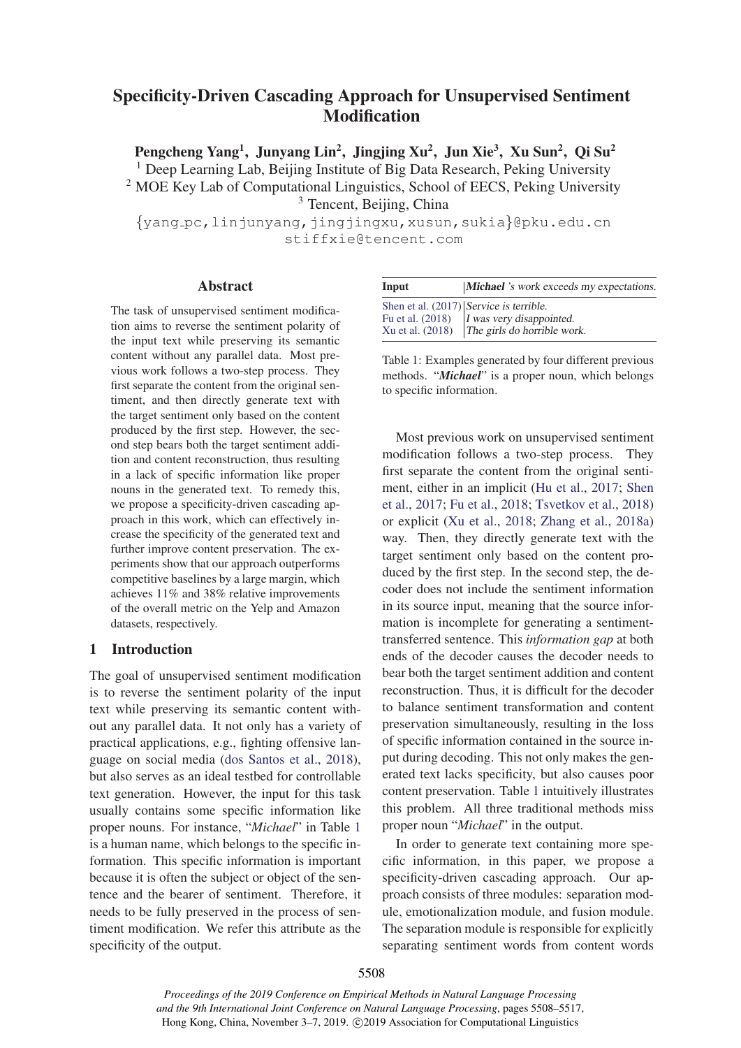# Specificity-Driven Cascading Approach for Unsupervised Sentiment **Modification**

Pengcheng Yang<sup>1</sup>, Junyang Lin<sup>2</sup>, Jingjing Xu<sup>2</sup>, Jun Xie<sup>3</sup>, Xu Sun<sup>2</sup>, Qi Su<sup>2</sup>

<sup>1</sup> Deep Learning Lab, Beijing Institute of Big Data Research, Peking University

<sup>2</sup> MOE Key Lab of Computational Linguistics, School of EECS, Peking University

<sup>3</sup> Tencent, Beijing, China

{yang pc,linjunyang,jingjingxu,xusun,sukia}@pku.edu.cn stiffxie@tencent.com

### Abstract

The task of unsupervised sentiment modification aims to reverse the sentiment polarity of the input text while preserving its semantic content without any parallel data. Most previous work follows a two-step process. They first separate the content from the original sentiment, and then directly generate text with the target sentiment only based on the content produced by the first step. However, the second step bears both the target sentiment addition and content reconstruction, thus resulting in a lack of specific information like proper nouns in the generated text. To remedy this, we propose a specificity-driven cascading approach in this work, which can effectively increase the specificity of the generated text and further improve content preservation. The experiments show that our approach outperforms competitive baselines by a large margin, which achieves 11% and 38% relative improvements of the overall metric on the Yelp and Amazon datasets, respectively.

## 1 Introduction

The goal of unsupervised sentiment modification is to reverse the sentiment polarity of the input text while preserving its semantic content without any parallel data. It not only has a variety of practical applications, e.g., fighting offensive language on social media (dos Santos et al., 2018), but also serves as an ideal testbed for controllable text generation. However, the input for this task usually contains some specific information like proper nouns. For instance, "*Michael*" in Table 1 is a human name, which belongs to the specific information. This specific information is important because it is often the subject or object of the sentence and the bearer of sentiment. Therefore, it needs to be fully preserved in the process of sentiment modification. We refer this attribute as the specificity of the output.

| Input            | <b>Michael</b> 's work exceeds my expectations. |
|------------------|-------------------------------------------------|
|                  | Shen et al. (2017) Service is terrible.         |
| Fu et al. (2018) | I was very disappointed.                        |
| Xu et al. (2018) | The girls do horrible work.                     |

Table 1: Examples generated by four different previous methods. "*Michael*" is a proper noun, which belongs to specific information.

Most previous work on unsupervised sentiment modification follows a two-step process. They first separate the content from the original sentiment, either in an implicit (Hu et al., 2017; Shen et al., 2017; Fu et al., 2018; Tsvetkov et al., 2018) or explicit (Xu et al., 2018; Zhang et al., 2018a) way. Then, they directly generate text with the target sentiment only based on the content produced by the first step. In the second step, the decoder does not include the sentiment information in its source input, meaning that the source information is incomplete for generating a sentimenttransferred sentence. This *information gap* at both ends of the decoder causes the decoder needs to bear both the target sentiment addition and content reconstruction. Thus, it is difficult for the decoder to balance sentiment transformation and content preservation simultaneously, resulting in the loss of specific information contained in the source input during decoding. This not only makes the generated text lacks specificity, but also causes poor content preservation. Table 1 intuitively illustrates this problem. All three traditional methods miss proper noun "*Michael*" in the output.

In order to generate text containing more specific information, in this paper, we propose a specificity-driven cascading approach. Our approach consists of three modules: separation module, emotionalization module, and fusion module. The separation module is responsible for explicitly separating sentiment words from content words

*Proceedings of the 2019 Conference on Empirical Methods in Natural Language Processing and the 9th International Joint Conference on Natural Language Processing*, pages 5508–5517, Hong Kong, China, November 3–7, 2019. ©2019 Association for Computational Linguistics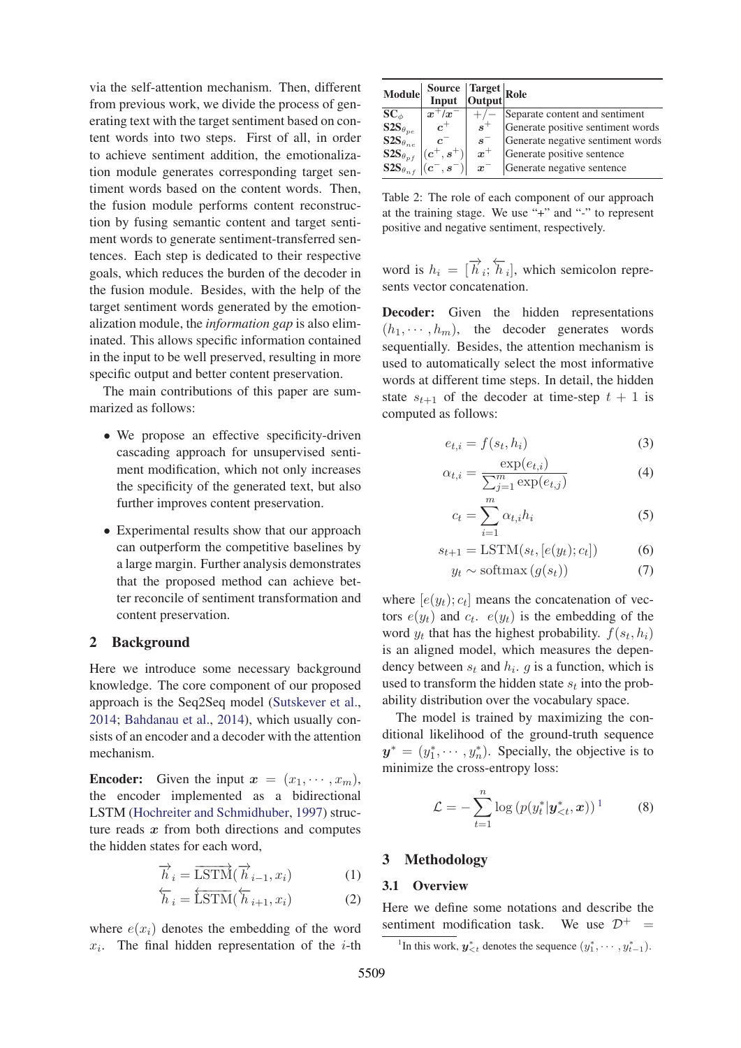via the self-attention mechanism. Then, different from previous work, we divide the process of generating text with the target sentiment based on content words into two steps. First of all, in order to achieve sentiment addition, the emotionalization module generates corresponding target sentiment words based on the content words. Then, the fusion module performs content reconstruction by fusing semantic content and target sentiment words to generate sentiment-transferred sentences. Each step is dedicated to their respective goals, which reduces the burden of the decoder in the fusion module. Besides, with the help of the target sentiment words generated by the emotionalization module, the *information gap* is also eliminated. This allows specific information contained in the input to be well preserved, resulting in more specific output and better content preservation.

The main contributions of this paper are summarized as follows:

- We propose an effective specificity-driven cascading approach for unsupervised sentiment modification, which not only increases the specificity of the generated text, but also further improves content preservation.
- Experimental results show that our approach can outperform the competitive baselines by a large margin. Further analysis demonstrates that the proposed method can achieve better reconcile of sentiment transformation and content preservation.

### 2 Background

Here we introduce some necessary background knowledge. The core component of our proposed approach is the Seq2Seq model (Sutskever et al., 2014; Bahdanau et al., 2014), which usually consists of an encoder and a decoder with the attention mechanism.

**Encoder:** Given the input  $x = (x_1, \dots, x_m)$ , the encoder implemented as a bidirectional LSTM (Hochreiter and Schmidhuber, 1997) structure reads *x* from both directions and computes the hidden states for each word,

$$
\overrightarrow{h}_i = \overrightarrow{\text{LSTM}}(\overrightarrow{h}_{i-1}, x_i)
$$
 (1)

$$
\overleftarrow{h}_i = \overleftarrow{\text{LSTM}}(\overleftarrow{h}_{i+1}, x_i)
$$
 (2)

where  $e(x_i)$  denotes the embedding of the word  $x_i$ . The final hidden representation of the *i*-th

| <b>Module</b>                | Source Target Role |                      |                                   |
|------------------------------|--------------------|----------------------|-----------------------------------|
| $\mathbf{SC}_{\phi}$         | $x^+/x$            |                      | Separate content and sentiment    |
| $\mathbf{S2S}_{\theta_{pe}}$ | $c^+$              | $s^+$                | Generate positive sentiment words |
| $\text{S2S}_{\theta_{ne}}$   | $\mathcal{C}$      | $s^-$                | Generate negative sentiment words |
| $\mathbf{S2S}_{\theta_{pf}}$ | $,s^{+\gamma}$     | $\boldsymbol{x}^{+}$ | Generate positive sentence        |
| $\mathbf{S2S}_{\theta_{n}}$  | $(c^-,s^-)$        | $\boldsymbol{x}$     | Generate negative sentence        |

Table 2: The role of each component of our approach at the training stage. We use "+" and "-" to represent positive and negative sentiment, respectively.

word is  $h_i = [\overrightarrow{h}_i; \overleftarrow{h}_i]$ , which semicolon repreword is  $n_i = \lfloor n_i; n_i \rfloor$ , v<br>sents vector concatenation.

Decoder: Given the hidden representations  $(h_1, \dots, h_m)$ , the decoder generates words sequentially. Besides, the attention mechanism is used to automatically select the most informative words at different time steps. In detail, the hidden state  $s_{t+1}$  of the decoder at time-step  $t + 1$  is computed as follows:

$$
e_{t,i} = f(s_t, h_i) \tag{3}
$$

$$
\alpha_{t,i} = \frac{\exp(e_{t,i})}{\sum_{j=1}^{m} \exp(e_{t,j})}
$$
(4)

$$
c_t = \sum_{i=1}^{m} \alpha_{t,i} h_i
$$
 (5)

$$
s_{t+1} = \text{LSTM}(s_t, [e(y_t); c_t])
$$
 (6)

$$
y_t \sim \text{softmax}\left(g(s_t)\right) \tag{7}
$$

where  $[e(y_t); c_t]$  means the concatenation of vectors  $e(y_t)$  and  $c_t$ .  $e(y_t)$  is the embedding of the word  $y_t$  that has the highest probability.  $f(s_t, h_i)$ is an aligned model, which measures the dependency between  $s_t$  and  $h_i$ . g is a function, which is used to transform the hidden state  $s_t$  into the probability distribution over the vocabulary space.

The model is trained by maximizing the conditional likelihood of the ground-truth sequence  $y^* = (y_1^*, \dots, y_n^*)$ . Specially, the objective is to minimize the cross-entropy loss: minimize the cross-entropy loss:

$$
\mathcal{L} = -\sum_{t=1}^{n} \log \left( p(y_t^* | \mathbf{y}_{
$$

### 3 Methodology

### 3.1 Overview

Here we define some notations and describe the sentiment modification task. We use  $\mathcal{D}^+$  =

<sup>1</sup>In this work,  $y^*_{\leq t}$  denotes the sequence  $(y^*_1, \dots, y^*_{t-1})$ .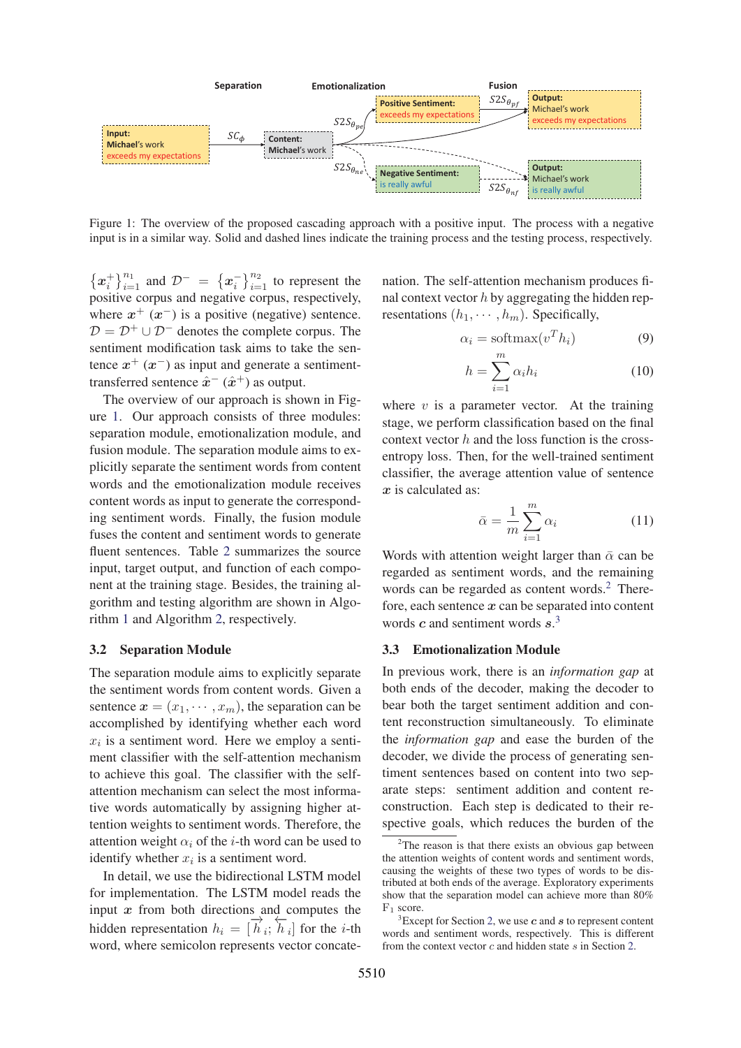

Figure 1: The overview of the proposed cascading approach with a positive input. The process with a negative input is in a similar way. Solid and dashed lines indicate the training process and the testing process, respectively.

 ${x_i^+}_{i=1}^{n_1}$  and  $\mathcal{D}^- = {x_i^-}_{i=1}^{n_2}$  to represent the positive corpus and negative corpus, respectively, where  $x^{+}$   $(x^{-})$  is a positive (negative) sentence.  $D = D^+ \cup D^-$  denotes the complete corpus. The sentiment modification task aims to take the sentence  $x^+(x^-)$  as input and generate a sentimenttransferred sentence  $\hat{x}^-(\hat{x}^+)$  as output.

The overview of our approach is shown in Figure 1. Our approach consists of three modules: separation module, emotionalization module, and fusion module. The separation module aims to explicitly separate the sentiment words from content words and the emotionalization module receives content words as input to generate the corresponding sentiment words. Finally, the fusion module fuses the content and sentiment words to generate fluent sentences. Table 2 summarizes the source input, target output, and function of each component at the training stage. Besides, the training algorithm and testing algorithm are shown in Algorithm 1 and Algorithm 2, respectively.

### 3.2 Separation Module

The separation module aims to explicitly separate the sentiment words from content words. Given a sentence  $x = (x_1, \dots, x_m)$ , the separation can be accomplished by identifying whether each word  $x_i$  is a sentiment word. Here we employ a sentiment classifier with the self-attention mechanism to achieve this goal. The classifier with the selfattention mechanism can select the most informative words automatically by assigning higher attention weights to sentiment words. Therefore, the attention weight  $\alpha_i$  of the *i*-th word can be used to identify whether  $x_i$  is a sentiment word.

In detail, we use the bidirectional LSTM model for implementation. The LSTM model reads the input *x* from both directions and computes the hidden representation  $h_i = [\overrightarrow{h}_i;$ <br>word, where semicolon represents  $\overleftarrow{h}_i$  for the *i*-th word, where semicolon represents vector concate-

nation. The self-attention mechanism produces final context vector  $h$  by aggregating the hidden representations  $(h_1, \dots, h_m)$ . Specifically,

$$
\alpha_i = \text{softmax}(v^T h_i) \tag{9}
$$

$$
h = \sum_{i=1}^{m} \alpha_i h_i \tag{10}
$$

where  $v$  is a parameter vector. At the training stage, we perform classification based on the final context vector  $h$  and the loss function is the crossentropy loss. Then, for the well-trained sentiment classifier, the average attention value of sentence *x* is calculated as:

$$
\bar{\alpha} = \frac{1}{m} \sum_{i=1}^{m} \alpha_i
$$
 (11)

Words with attention weight larger than  $\bar{\alpha}$  can be regarded as sentiment words, and the remaining words can be regarded as content words.<sup>2</sup> Therefore, each sentence *x* can be separated into content words *c* and sentiment words *s*. 3

#### 3.3 Emotionalization Module

In previous work, there is an *information gap* at both ends of the decoder, making the decoder to bear both the target sentiment addition and content reconstruction simultaneously. To eliminate the *information gap* and ease the burden of the decoder, we divide the process of generating sentiment sentences based on content into two separate steps: sentiment addition and content reconstruction. Each step is dedicated to their respective goals, which reduces the burden of the

<sup>&</sup>lt;sup>2</sup>The reason is that there exists an obvious gap between the attention weights of content words and sentiment words, causing the weights of these two types of words to be distributed at both ends of the average. Exploratory experiments show that the separation model can achieve more than 80% F<sup>1</sup> score.

<sup>3</sup> Except for Section 2, we use *c* and *s* to represent content words and sentiment words, respectively. This is different from the context vector  $c$  and hidden state  $s$  in Section 2.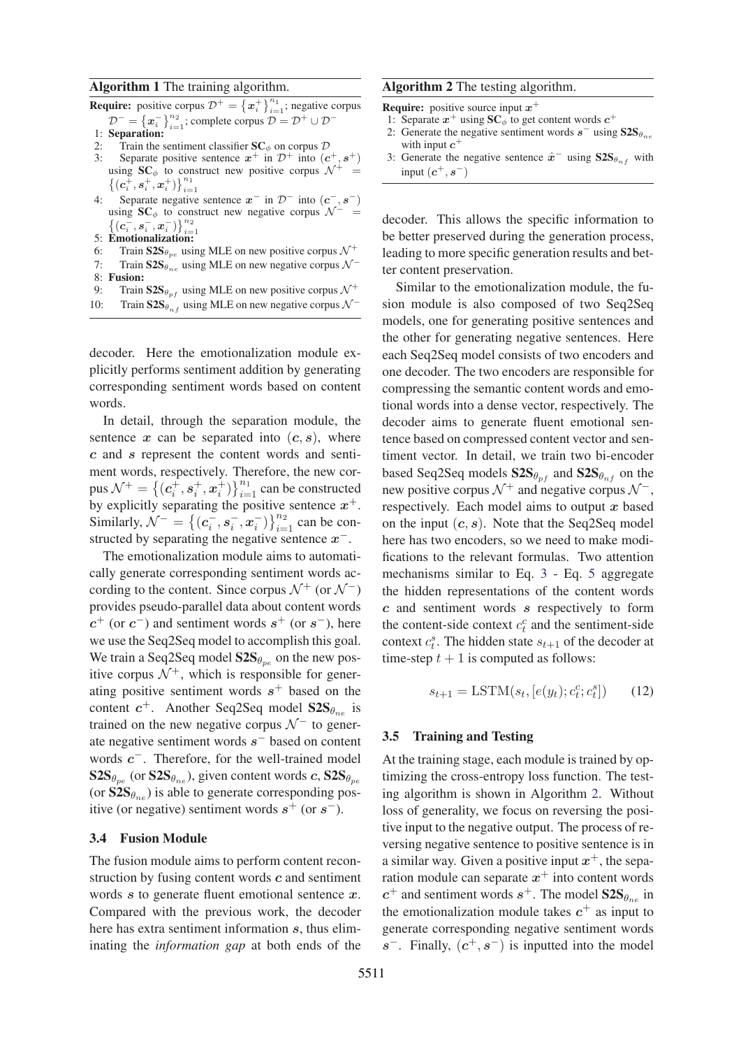### Algorithm 1 The training algorithm.

**Require:** positive corpus  $\mathcal{D}^+ = \{x_i^+\}_{i=1}^{n_1}$ ; negative corpus  $\mathcal{D}^- = \left\{ x_i^- \right\}_{i=1}^{n_2};$  complete corpus  $\mathcal{D} = \mathcal{D}^+ \cup \mathcal{D}^-$ 

- 1: Separation:
- 2: Train the sentiment classifier  $SC_{\phi}$  on corpus  $D$ <br>3: Separate positive sentence  $x^{+}$  in  $D^{+}$  into (*c*
- Separate positive sentence  $x^+$  in  $\mathcal{D}^+$  into  $(c^+, s^+)$ using  $SC_{\phi}$  to construct new positive corpus  $\mathcal{N}^+$  =  $\big\{(\bm{c}_i^{\bm{\mp}}, \bm{s}_i^+, \bm{x}_i^+) \big\}_{i=1}^{n_1}$
- Separate negative sentence  $x^-$  in  $\mathcal{D}^-$  into  $(c^-, s^-)$ using  $SC_{\phi}$  to construct new negative corpus  $\mathcal{N}^-$  =  $\big\{(c_i^-,s_i^-,x_i^-)\big\}_{i=1}^{n_2}$
- 5: Emotionalization:
- 6: Train  $S2S_{\theta_{pe}}$  using MLE on new positive corpus  $\mathcal{N}^+$ <br>7: Train  $S2S_e$  using MLE on new negative corpus  $\mathcal{N}^-$
- Train  $S2S_{\theta_{ne}}$  using MLE on new negative corpus  $\mathcal{N}^-$
- 8: Fusion:
- 9: Train  $S2S_{\theta_{P}f}$  using MLE on new positive corpus  $\mathcal{N}^+$ <br>10: Train  $S2S_{\theta}$  using MLE on new negative corpus  $\mathcal{N}^-$
- Train  $S2S_{\theta_{n}f}$  using MLE on new negative corpus  $\mathcal{N}^-$

decoder. Here the emotionalization module explicitly performs sentiment addition by generating corresponding sentiment words based on content words.

In detail, through the separation module, the sentence  $x$  can be separated into  $(c, s)$ , where *c* and *s* represent the content words and sentiment words, respectively. Therefore, the new corpus  $\mathcal{N}^+ = \{(\mathbf{c}_i^+, \mathbf{s}_i^+, \mathbf{x}_i^+)$ <br>by explicitly separating the  $\}_{i=1}^{n_1}$  can be constructed by explicitly separating the positive sentence  $x^+$ . Similarly,  $\mathcal{N}^- = \{ (c_i^-, s_i^-, x_i^-) \}$  $\}_{i=1}^{n_2}$  can be constructed by separating the negative sentence *x*−.

The emotionalization module aims to automatically generate corresponding sentiment words according to the content. Since corpus  $\mathcal{N}^+$  (or  $\mathcal{N}^-$ ) provides pseudo-parallel data about content words  $c^{+}$  (or  $c^{-}$ ) and sentiment words  $s^{+}$  (or  $s^{-}$ ), here we use the Seq2Seq model to accomplish this goal. We train a Seq2Seq model  $S2S_{\theta_{pe}}$  on the new positive corpus  $\mathcal{N}^+$ , which is responsible for generating positive sentiment words  $s^+$  based on the content  $c^+$ . Another Seq2Seq model  $S2S_{\theta_{\text{max}}}$  is trained on the new negative corpus  $\mathcal{N}^-$  to generate negative sentiment words *s*− based on content words *c*−. Therefore, for the well-trained model  $\text{S2S}_{\theta_{pe}}$  (or  $\text{S2S}_{\theta_{ne}}$ ), given content words *c*,  $\text{S2S}_{\theta_{pe}}$ (or  $S2S_{\theta_{ne}}$ ) is able to generate corresponding positive (or negative) sentiment words  $s^+$  (or  $s^-$ ).

# 3.4 Fusion Module

The fusion module aims to perform content reconstruction by fusing content words *c* and sentiment words *s* to generate fluent emotional sentence *x*. Compared with the previous work, the decoder here has extra sentiment information *s*, thus eliminating the *information gap* at both ends of the

### Algorithm 2 The testing algorithm.

Require: positive source input *x*<sup>+</sup>

- 1: Separate  $x^+$  using  $SC_{\phi}$  to get content words  $c^+$
- 2: Generate the negative sentiment words  $s^-$  using  $S2S_{\theta_{n}}$ with input  $c^+$
- 3: Generate the negative sentence  $\hat{x}^-$  using  $S2S_{\theta_{n,f}}$  with input  $(c^+, s^-)$

decoder. This allows the specific information to be better preserved during the generation process, leading to more specific generation results and better content preservation.

Similar to the emotionalization module, the fusion module is also composed of two Seq2Seq models, one for generating positive sentences and the other for generating negative sentences. Here each Seq2Seq model consists of two encoders and one decoder. The two encoders are responsible for compressing the semantic content words and emotional words into a dense vector, respectively. The decoder aims to generate fluent emotional sentence based on compressed content vector and sentiment vector. In detail, we train two bi-encoder based Seq2Seq models  $S2S_{\theta_{pf}}$  and  $S2S_{\theta_{nf}}$  on the new positive corpus  $\mathcal{N}^+$  and negative corpus  $\mathcal{N}^-$ , respectively. Each model aims to output *x* based on the input  $(c, s)$ . Note that the Seq2Seq model here has two encoders, so we need to make modifications to the relevant formulas. Two attention mechanisms similar to Eq. 3 - Eq. 5 aggregate the hidden representations of the content words *c* and sentiment words *s* respectively to form the content-side context  $c_t^c$  and the sentiment-side<br>context  $c_s^s$ . The hidden state sum of the decoder at context  $c_t^s$ . The hidden state  $s_{t+1}$  of the decoder at time-step  $t+1$  is computed as follows: time-step  $t + 1$  is computed as follows:

$$
s_{t+1} = \text{LSTM}(s_t, [e(y_t); c_t^c; c_t^s]) \qquad (12)
$$

#### 3.5 Training and Testing

At the training stage, each module is trained by optimizing the cross-entropy loss function. The testing algorithm is shown in Algorithm 2. Without loss of generality, we focus on reversing the positive input to the negative output. The process of reversing negative sentence to positive sentence is in a similar way. Given a positive input  $x^+$ , the separation module can separate  $x^+$  into content words  $c^+$  and sentiment words  $s^+$ . The model  $S2S_{\theta_{n_e}}$  in the emotionalization module takes  $c^+$  as input to generate corresponding negative sentiment words  $s^-$ . Finally,  $(c^+, s^-)$  is inputted into the model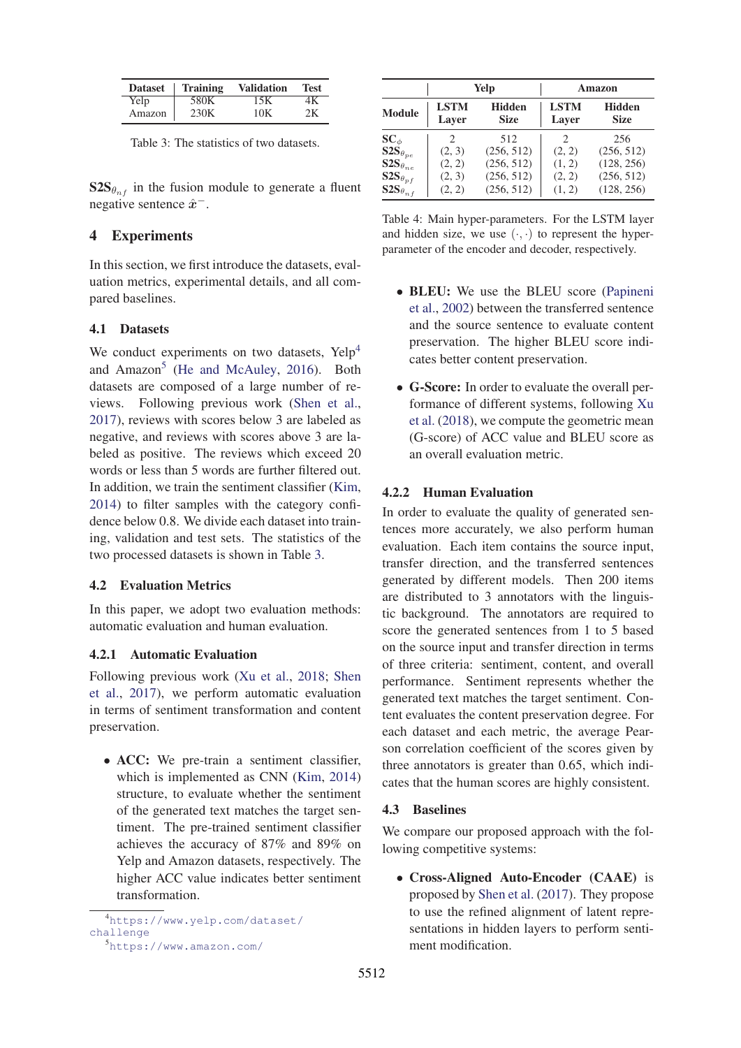| <b>Dataset</b> | <b>Training</b> | <b>Validation</b> | <b>Test</b> |
|----------------|-----------------|-------------------|-------------|
| Yelp           | 580K            | 15K               | 4Κ          |
| Amazon         | 230K            | 10K               | 2K          |

Table 3: The statistics of two datasets.

 $S2S_{\theta_{n}f}$  in the fusion module to generate a fluent negative sentence *<sup>x</sup>*ˆ−.

### 4 Experiments

In this section, we first introduce the datasets, evaluation metrics, experimental details, and all compared baselines.

### 4.1 Datasets

We conduct experiments on two datasets, Yelp<sup>4</sup> and Amazon<sup>5</sup> (He and McAuley, 2016). Both datasets are composed of a large number of reviews. Following previous work (Shen et al., 2017), reviews with scores below 3 are labeled as negative, and reviews with scores above 3 are labeled as positive. The reviews which exceed 20 words or less than 5 words are further filtered out. In addition, we train the sentiment classifier (Kim, 2014) to filter samples with the category confidence below 0.8. We divide each dataset into training, validation and test sets. The statistics of the two processed datasets is shown in Table 3.

### 4.2 Evaluation Metrics

In this paper, we adopt two evaluation methods: automatic evaluation and human evaluation.

# 4.2.1 Automatic Evaluation

Following previous work (Xu et al., 2018; Shen et al., 2017), we perform automatic evaluation in terms of sentiment transformation and content preservation.

• ACC: We pre-train a sentiment classifier, which is implemented as CNN (Kim, 2014) structure, to evaluate whether the sentiment of the generated text matches the target sentiment. The pre-trained sentiment classifier achieves the accuracy of 87% and 89% on Yelp and Amazon datasets, respectively. The higher ACC value indicates better sentiment transformation.

|                              |                             | Yelp                         |                             | Amazon                       |
|------------------------------|-----------------------------|------------------------------|-----------------------------|------------------------------|
| <b>Module</b>                | <b>LSTM</b><br>Laver        | <b>Hidden</b><br><b>Size</b> | <b>LSTM</b><br>Laver        | <b>Hidden</b><br><b>Size</b> |
| $\mathbf{SC}_{\phi}$         | $\mathcal{D}_{\mathcal{A}}$ | 512                          | $\mathcal{D}_{\mathcal{L}}$ | 256                          |
| $S2S_{\theta_{pe}}$          | (2, 3)                      | (256, 512)                   | (2, 2)                      | (256, 512)                   |
| $\mathbf{S2S}_{\theta_{ne}}$ | (2, 2)                      | (256, 512)                   | (1, 2)                      | (128, 256)                   |
| $S2S_{\theta_{pf}}$          | (2, 3)                      | (256, 512)                   | (2, 2)                      | (256, 512)                   |
| $S2S_{\theta_{nf}}$          | (2, 2)                      | (256, 512)                   | (1, 2)                      | (128, 256)                   |

Table 4: Main hyper-parameters. For the LSTM layer and hidden size, we use  $(\cdot, \cdot)$  to represent the hyperparameter of the encoder and decoder, respectively.

- BLEU: We use the BLEU score (Papineni et al., 2002) between the transferred sentence and the source sentence to evaluate content preservation. The higher BLEU score indicates better content preservation.
- G-Score: In order to evaluate the overall performance of different systems, following Xu et al. (2018), we compute the geometric mean (G-score) of ACC value and BLEU score as an overall evaluation metric.

### 4.2.2 Human Evaluation

In order to evaluate the quality of generated sentences more accurately, we also perform human evaluation. Each item contains the source input, transfer direction, and the transferred sentences generated by different models. Then 200 items are distributed to 3 annotators with the linguistic background. The annotators are required to score the generated sentences from 1 to 5 based on the source input and transfer direction in terms of three criteria: sentiment, content, and overall performance. Sentiment represents whether the generated text matches the target sentiment. Content evaluates the content preservation degree. For each dataset and each metric, the average Pearson correlation coefficient of the scores given by three annotators is greater than 0.65, which indicates that the human scores are highly consistent.

### 4.3 Baselines

We compare our proposed approach with the following competitive systems:

• Cross-Aligned Auto-Encoder (CAAE) is proposed by Shen et al. (2017). They propose to use the refined alignment of latent representations in hidden layers to perform sentiment modification.

<sup>4</sup> https://www.yelp.com/dataset/ challenge

<sup>5</sup> https://www.amazon.com/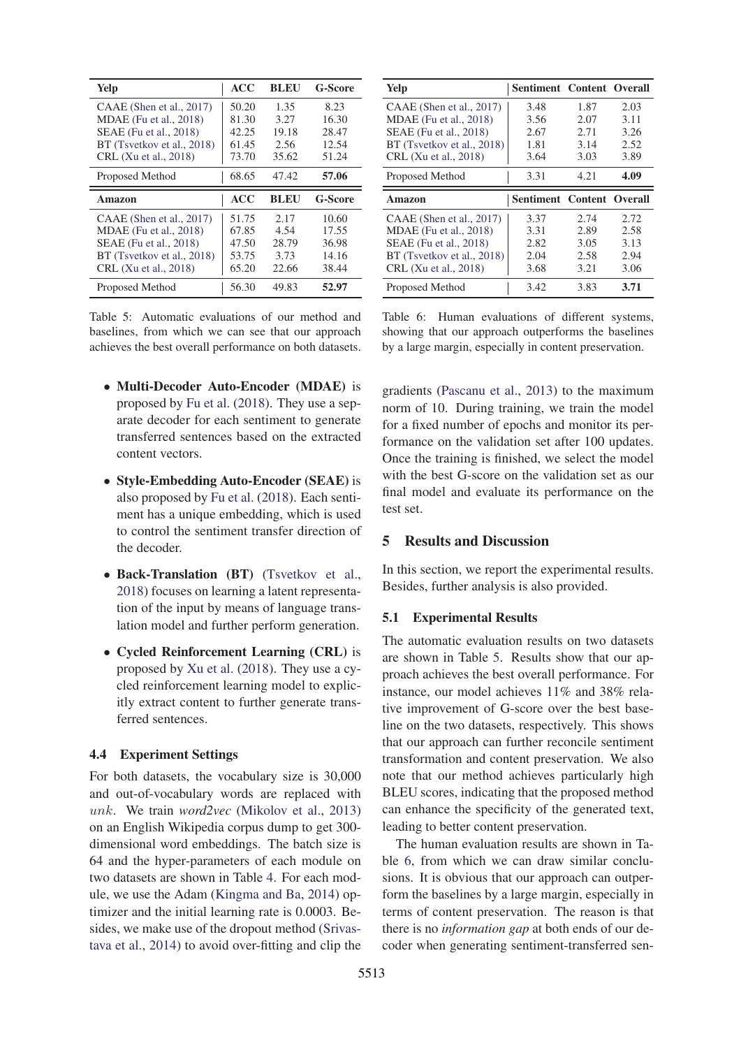| Yelp                       | ACC        | <b>BLEU</b> | <b>G-Score</b> |
|----------------------------|------------|-------------|----------------|
| CAAE (Shen et al., 2017)   | 50.20      | 1.35        | 8.23           |
| MDAE (Fu et al., 2018)     | 81.30      | 3.27        | 16.30          |
| SEAE (Fu et al., 2018)     | 42.25      | 19.18       | 28.47          |
| BT (Tsvetkov et al., 2018) | 61.45      | 2.56        | 12.54          |
| CRL (Xu et al., 2018)      | 73.70      | 35.62       | 51.24          |
| Proposed Method            | 68.65      | 47.42       | 57.06          |
|                            |            |             |                |
| Amazon                     | <b>ACC</b> | <b>BLEU</b> | <b>G-Score</b> |
| CAAE (Shen et al., 2017)   | 51.75      | 2.17        | 10.60          |
| MDAE (Fu et al., 2018)     | 67.85      | 4.54        | 17.55          |
| SEAE (Fu et al., 2018)     | 47.50      | 28.79       | 36.98          |
| BT (Tsvetkov et al., 2018) | 53.75      | 3.73        | 14.16          |
| CRL (Xu et al., 2018)      | 65.20      | 22.66       | 38.44          |

Table 5: Automatic evaluations of our method and baselines, from which we can see that our approach achieves the best overall performance on both datasets.

- Multi-Decoder Auto-Encoder (MDAE) is proposed by Fu et al. (2018). They use a separate decoder for each sentiment to generate transferred sentences based on the extracted content vectors.
- Style-Embedding Auto-Encoder (SEAE) is also proposed by Fu et al. (2018). Each sentiment has a unique embedding, which is used to control the sentiment transfer direction of the decoder.
- Back-Translation (BT) (Tsvetkov et al., 2018) focuses on learning a latent representation of the input by means of language translation model and further perform generation.
- Cycled Reinforcement Learning (CRL) is proposed by Xu et al. (2018). They use a cycled reinforcement learning model to explicitly extract content to further generate transferred sentences.

## 4.4 Experiment Settings

For both datasets, the vocabulary size is 30,000 and out-of-vocabulary words are replaced with unk. We train *word2vec* (Mikolov et al., 2013) on an English Wikipedia corpus dump to get 300 dimensional word embeddings. The batch size is 64 and the hyper-parameters of each module on two datasets are shown in Table 4. For each module, we use the Adam (Kingma and Ba, 2014) optimizer and the initial learning rate is 0.0003. Besides, we make use of the dropout method (Srivastava et al., 2014) to avoid over-fitting and clip the

| Yelp                       | Sentiment Content Overall |      |      |
|----------------------------|---------------------------|------|------|
| CAAE (Shen et al., 2017)   | 3.48                      | 1.87 | 2.03 |
| MDAE (Fu et al., 2018)     | 3.56                      | 2.07 | 3.11 |
| SEAE (Fu et al., 2018)     | 2.67                      | 2.71 | 3.26 |
| BT (Tsvetkov et al., 2018) | 1.81                      | 3.14 | 2.52 |
| CRL (Xu et al., 2018)      | 3.64                      | 3.03 | 3.89 |
| Proposed Method            | 3.31                      | 4.21 | 4.09 |
|                            |                           |      |      |
| Amazon                     | Sentiment Content Overall |      |      |
| CAAE (Shen et al., 2017)   | 3.37                      | 2.74 | 2.72 |
| MDAE (Fu et al., 2018)     | 3.31                      | 2.89 | 2.58 |
| SEAE (Fu et al., 2018)     | 2.82                      | 3.05 | 3.13 |
| BT (Tsvetkov et al., 2018) | 2.04                      | 2.58 | 2.94 |
| CRL (Xu et al., 2018)      | 3.68                      | 3.21 | 3.06 |

Table 6: Human evaluations of different systems, showing that our approach outperforms the baselines by a large margin, especially in content preservation.

gradients (Pascanu et al., 2013) to the maximum norm of 10. During training, we train the model for a fixed number of epochs and monitor its performance on the validation set after 100 updates. Once the training is finished, we select the model with the best G-score on the validation set as our final model and evaluate its performance on the test set.

### 5 Results and Discussion

In this section, we report the experimental results. Besides, further analysis is also provided.

#### 5.1 Experimental Results

The automatic evaluation results on two datasets are shown in Table 5. Results show that our approach achieves the best overall performance. For instance, our model achieves 11% and 38% relative improvement of G-score over the best baseline on the two datasets, respectively. This shows that our approach can further reconcile sentiment transformation and content preservation. We also note that our method achieves particularly high BLEU scores, indicating that the proposed method can enhance the specificity of the generated text, leading to better content preservation.

The human evaluation results are shown in Table 6, from which we can draw similar conclusions. It is obvious that our approach can outperform the baselines by a large margin, especially in terms of content preservation. The reason is that there is no *information gap* at both ends of our decoder when generating sentiment-transferred sen-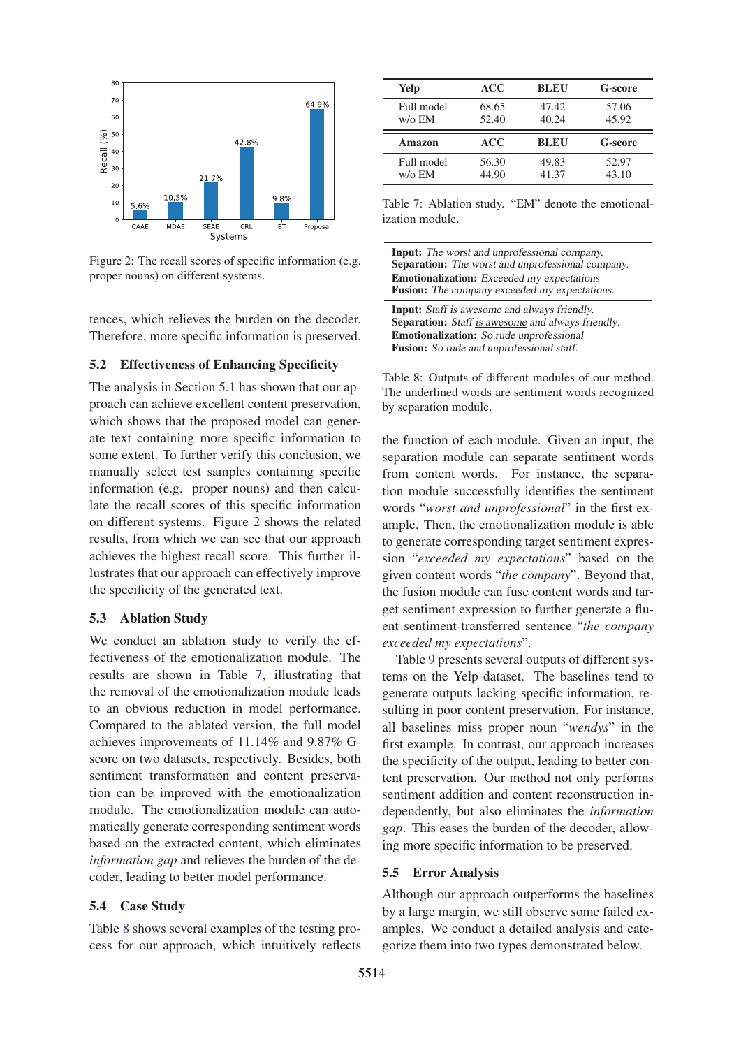

Figure 2: The recall scores of specific information (e.g. proper nouns) on different systems.

tences, which relieves the burden on the decoder. Therefore, more specific information is preserved.

### 5.2 Effectiveness of Enhancing Specificity

The analysis in Section 5.1 has shown that our approach can achieve excellent content preservation, which shows that the proposed model can generate text containing more specific information to some extent. To further verify this conclusion, we manually select test samples containing specific information (e.g. proper nouns) and then calculate the recall scores of this specific information on different systems. Figure 2 shows the related results, from which we can see that our approach achieves the highest recall score. This further illustrates that our approach can effectively improve the specificity of the generated text.

## 5.3 Ablation Study

We conduct an ablation study to verify the effectiveness of the emotionalization module. The results are shown in Table 7, illustrating that the removal of the emotionalization module leads to an obvious reduction in model performance. Compared to the ablated version, the full model achieves improvements of 11.14% and 9.87% Gscore on two datasets, respectively. Besides, both sentiment transformation and content preservation can be improved with the emotionalization module. The emotionalization module can automatically generate corresponding sentiment words based on the extracted content, which eliminates *information gap* and relieves the burden of the decoder, leading to better model performance.

### 5.4 Case Study

Table 8 shows several examples of the testing process for our approach, which intuitively reflects

| Yelp                           | <b>ACC</b>     | <b>BLEU</b>    | <b>G-score</b> |
|--------------------------------|----------------|----------------|----------------|
| Full model<br>$w$ / $\circ$ EM | 68.65<br>52.40 | 47.42<br>40.24 | 57.06<br>45.92 |
|                                |                |                |                |
| Amazon                         | <b>ACC</b>     | <b>BLEU</b>    | <b>G-score</b> |

Table 7: Ablation study. "EM" denote the emotionalization module.

| <b>Input:</b> The worst and unprofessional company.      |
|----------------------------------------------------------|
| <b>Separation:</b> The worst and unprofessional company. |
| <b>Emotionalization:</b> Exceeded my expectations        |
| Fusion: The company exceeded my expectations.            |
| <b>Input:</b> Staff is awesome and always friendly.      |
| <b>Separation:</b> Staff is awesome and always friendly. |
| <b>Emotionalization:</b> So rude unprofessional          |
| <b>Fusion:</b> So rude and unprofessional staff.         |

Table 8: Outputs of different modules of our method. The underlined words are sentiment words recognized by separation module.

the function of each module. Given an input, the separation module can separate sentiment words from content words. For instance, the separation module successfully identifies the sentiment words "*worst and unprofessional*" in the first example. Then, the emotionalization module is able to generate corresponding target sentiment expression "*exceeded my expectations*" based on the given content words "*the company*". Beyond that, the fusion module can fuse content words and target sentiment expression to further generate a fluent sentiment-transferred sentence "*the company exceeded my expectations*".

Table 9 presents several outputs of different systems on the Yelp dataset. The baselines tend to generate outputs lacking specific information, resulting in poor content preservation. For instance, all baselines miss proper noun "*wendys*" in the first example. In contrast, our approach increases the specificity of the output, leading to better content preservation. Our method not only performs sentiment addition and content reconstruction independently, but also eliminates the *information gap*. This eases the burden of the decoder, allowing more specific information to be preserved.

#### 5.5 Error Analysis

Although our approach outperforms the baselines by a large margin, we still observe some failed examples. We conduct a detailed analysis and categorize them into two types demonstrated below.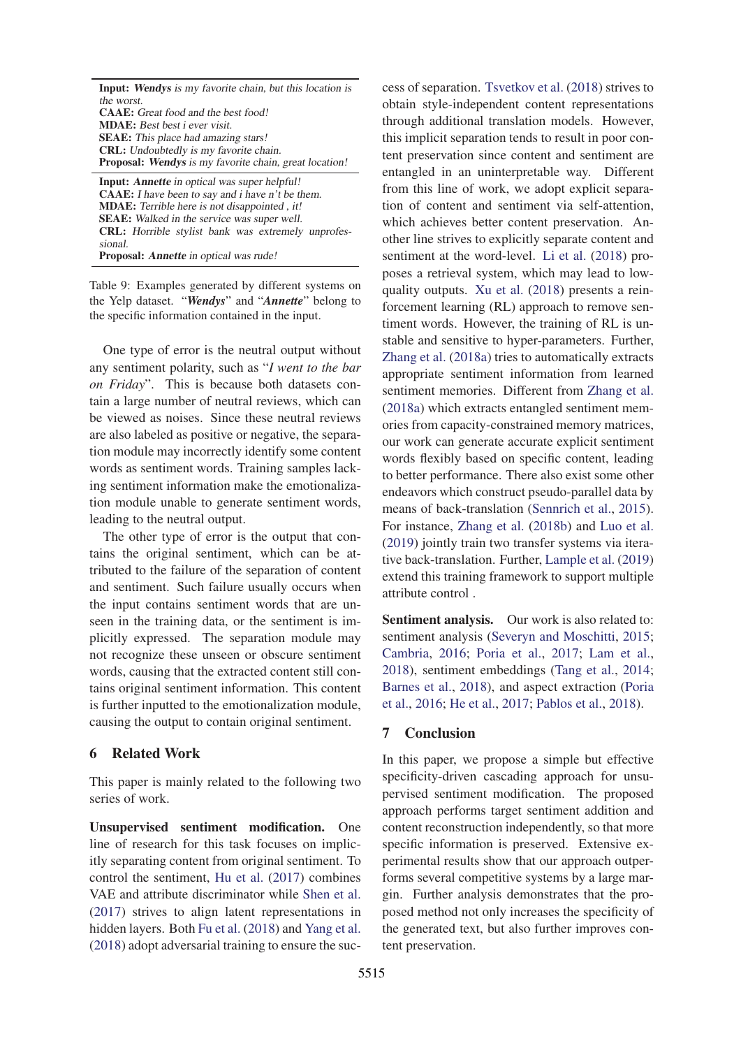| <b>Input:</b> Wendys is my favorite chain, but this location is |
|-----------------------------------------------------------------|
| the worst.                                                      |
| <b>CAAE:</b> Great food and the best food!                      |
| <b>MDAE</b> : Best best <i>i</i> ever visit.                    |
| <b>SEAE:</b> This place had amazing stars!                      |
| <b>CRL:</b> Undoubtedly is my favorite chain.                   |
| <b>Proposal:</b> Wendys is my favorite chain, great location!   |

Input: *Annette* in optical was super helpful! CAAE: I have been to say and i have n't be them. MDAE: Terrible here is not disappointed , it! SEAE: Walked in the service was super well. CRL: Horrible stylist bank was extremely unprofessional. Proposal: *Annette* in optical was rude!

Table 9: Examples generated by different systems on the Yelp dataset. "*Wendys*" and "*Annette*" belong to the specific information contained in the input.

One type of error is the neutral output without any sentiment polarity, such as "*I went to the bar on Friday*". This is because both datasets contain a large number of neutral reviews, which can be viewed as noises. Since these neutral reviews are also labeled as positive or negative, the separation module may incorrectly identify some content words as sentiment words. Training samples lacking sentiment information make the emotionalization module unable to generate sentiment words, leading to the neutral output.

The other type of error is the output that contains the original sentiment, which can be attributed to the failure of the separation of content and sentiment. Such failure usually occurs when the input contains sentiment words that are unseen in the training data, or the sentiment is implicitly expressed. The separation module may not recognize these unseen or obscure sentiment words, causing that the extracted content still contains original sentiment information. This content is further inputted to the emotionalization module, causing the output to contain original sentiment.

### 6 Related Work

This paper is mainly related to the following two series of work.

Unsupervised sentiment modification. One line of research for this task focuses on implicitly separating content from original sentiment. To control the sentiment, Hu et al. (2017) combines VAE and attribute discriminator while Shen et al. (2017) strives to align latent representations in hidden layers. Both Fu et al. (2018) and Yang et al. (2018) adopt adversarial training to ensure the success of separation. Tsvetkov et al. (2018) strives to obtain style-independent content representations through additional translation models. However, this implicit separation tends to result in poor content preservation since content and sentiment are entangled in an uninterpretable way. Different from this line of work, we adopt explicit separation of content and sentiment via self-attention, which achieves better content preservation. Another line strives to explicitly separate content and sentiment at the word-level. Li et al. (2018) proposes a retrieval system, which may lead to lowquality outputs. Xu et al. (2018) presents a reinforcement learning (RL) approach to remove sentiment words. However, the training of RL is unstable and sensitive to hyper-parameters. Further, Zhang et al. (2018a) tries to automatically extracts appropriate sentiment information from learned sentiment memories. Different from Zhang et al. (2018a) which extracts entangled sentiment memories from capacity-constrained memory matrices, our work can generate accurate explicit sentiment words flexibly based on specific content, leading to better performance. There also exist some other endeavors which construct pseudo-parallel data by means of back-translation (Sennrich et al., 2015). For instance, Zhang et al. (2018b) and Luo et al. (2019) jointly train two transfer systems via iterative back-translation. Further, Lample et al. (2019) extend this training framework to support multiple attribute control .

Sentiment analysis. Our work is also related to: sentiment analysis (Severyn and Moschitti, 2015; Cambria, 2016; Poria et al., 2017; Lam et al., 2018), sentiment embeddings (Tang et al., 2014; Barnes et al., 2018), and aspect extraction (Poria et al., 2016; He et al., 2017; Pablos et al., 2018).

# 7 Conclusion

In this paper, we propose a simple but effective specificity-driven cascading approach for unsupervised sentiment modification. The proposed approach performs target sentiment addition and content reconstruction independently, so that more specific information is preserved. Extensive experimental results show that our approach outperforms several competitive systems by a large margin. Further analysis demonstrates that the proposed method not only increases the specificity of the generated text, but also further improves content preservation.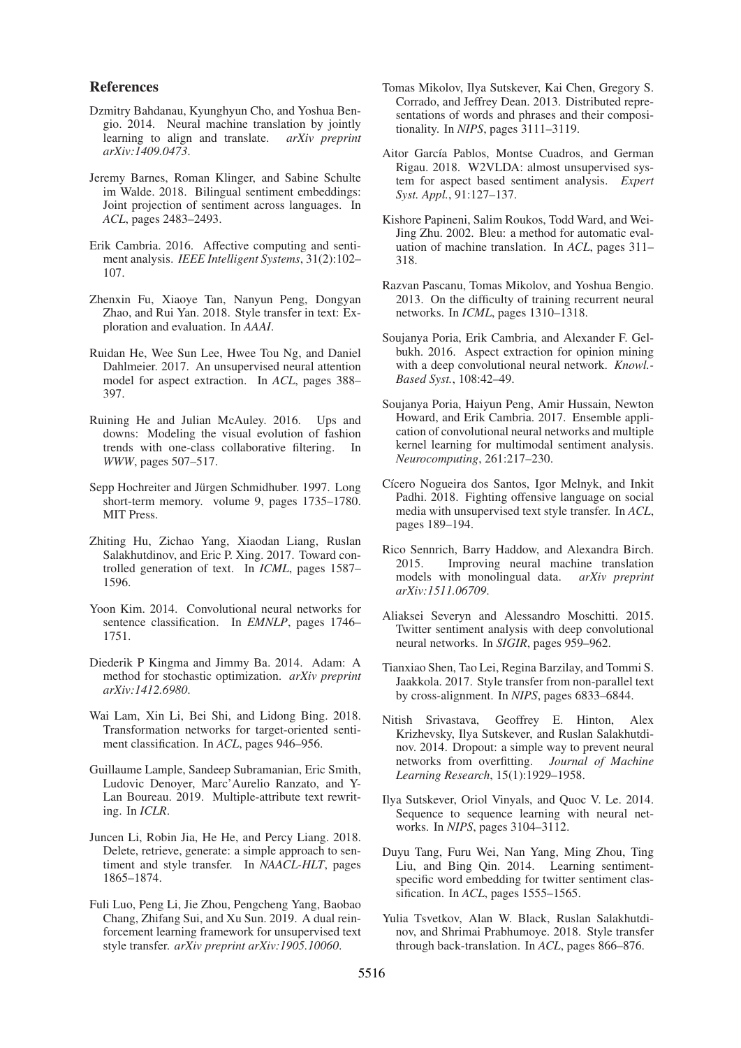### References

- Dzmitry Bahdanau, Kyunghyun Cho, and Yoshua Bengio. 2014. Neural machine translation by jointly learning to align and translate. *arXiv preprint arXiv:1409.0473*.
- Jeremy Barnes, Roman Klinger, and Sabine Schulte im Walde. 2018. Bilingual sentiment embeddings: Joint projection of sentiment across languages. In *ACL*, pages 2483–2493.
- Erik Cambria. 2016. Affective computing and sentiment analysis. *IEEE Intelligent Systems*, 31(2):102– 107.
- Zhenxin Fu, Xiaoye Tan, Nanyun Peng, Dongyan Zhao, and Rui Yan. 2018. Style transfer in text: Exploration and evaluation. In *AAAI*.
- Ruidan He, Wee Sun Lee, Hwee Tou Ng, and Daniel Dahlmeier. 2017. An unsupervised neural attention model for aspect extraction. In *ACL*, pages 388– 397.
- Ruining He and Julian McAuley. 2016. Ups and downs: Modeling the visual evolution of fashion trends with one-class collaborative filtering. In *WWW*, pages 507–517.
- Sepp Hochreiter and Jürgen Schmidhuber. 1997. Long short-term memory. volume 9, pages 1735–1780. MIT Press.
- Zhiting Hu, Zichao Yang, Xiaodan Liang, Ruslan Salakhutdinov, and Eric P. Xing. 2017. Toward controlled generation of text. In *ICML*, pages 1587– 1596.
- Yoon Kim. 2014. Convolutional neural networks for sentence classification. In *EMNLP*, pages 1746– 1751.
- Diederik P Kingma and Jimmy Ba. 2014. Adam: A method for stochastic optimization. *arXiv preprint arXiv:1412.6980*.
- Wai Lam, Xin Li, Bei Shi, and Lidong Bing. 2018. Transformation networks for target-oriented sentiment classification. In *ACL*, pages 946–956.
- Guillaume Lample, Sandeep Subramanian, Eric Smith, Ludovic Denoyer, Marc'Aurelio Ranzato, and Y-Lan Boureau. 2019. Multiple-attribute text rewriting. In *ICLR*.
- Juncen Li, Robin Jia, He He, and Percy Liang. 2018. Delete, retrieve, generate: a simple approach to sentiment and style transfer. In *NAACL-HLT*, pages 1865–1874.
- Fuli Luo, Peng Li, Jie Zhou, Pengcheng Yang, Baobao Chang, Zhifang Sui, and Xu Sun. 2019. A dual reinforcement learning framework for unsupervised text style transfer. *arXiv preprint arXiv:1905.10060*.
- Tomas Mikolov, Ilya Sutskever, Kai Chen, Gregory S. Corrado, and Jeffrey Dean. 2013. Distributed representations of words and phrases and their compositionality. In *NIPS*, pages 3111–3119.
- Aitor García Pablos, Montse Cuadros, and German Rigau. 2018. W2VLDA: almost unsupervised system for aspect based sentiment analysis. *Expert Syst. Appl.*, 91:127–137.
- Kishore Papineni, Salim Roukos, Todd Ward, and Wei-Jing Zhu. 2002. Bleu: a method for automatic evaluation of machine translation. In *ACL*, pages 311– 318.
- Razvan Pascanu, Tomas Mikolov, and Yoshua Bengio. 2013. On the difficulty of training recurrent neural networks. In *ICML*, pages 1310–1318.
- Soujanya Poria, Erik Cambria, and Alexander F. Gelbukh. 2016. Aspect extraction for opinion mining with a deep convolutional neural network. *Knowl.- Based Syst.*, 108:42–49.
- Soujanya Poria, Haiyun Peng, Amir Hussain, Newton Howard, and Erik Cambria. 2017. Ensemble application of convolutional neural networks and multiple kernel learning for multimodal sentiment analysis. *Neurocomputing*, 261:217–230.
- Cícero Nogueira dos Santos, Igor Melnyk, and Inkit Padhi. 2018. Fighting offensive language on social media with unsupervised text style transfer. In *ACL*, pages 189–194.
- Rico Sennrich, Barry Haddow, and Alexandra Birch. 2015. Improving neural machine translation models with monolingual data. *arXiv preprint arXiv:1511.06709*.
- Aliaksei Severyn and Alessandro Moschitti. 2015. Twitter sentiment analysis with deep convolutional neural networks. In *SIGIR*, pages 959–962.
- Tianxiao Shen, Tao Lei, Regina Barzilay, and Tommi S. Jaakkola. 2017. Style transfer from non-parallel text by cross-alignment. In *NIPS*, pages 6833–6844.
- Nitish Srivastava, Geoffrey E. Hinton, Alex Krizhevsky, Ilya Sutskever, and Ruslan Salakhutdinov. 2014. Dropout: a simple way to prevent neural networks from overfitting. *Journal of Machine Learning Research*, 15(1):1929–1958.
- Ilya Sutskever, Oriol Vinyals, and Quoc V. Le. 2014. Sequence to sequence learning with neural networks. In *NIPS*, pages 3104–3112.
- Duyu Tang, Furu Wei, Nan Yang, Ming Zhou, Ting Liu, and Bing Qin. 2014. Learning sentimentspecific word embedding for twitter sentiment classification. In *ACL*, pages 1555–1565.
- Yulia Tsvetkov, Alan W. Black, Ruslan Salakhutdinov, and Shrimai Prabhumoye. 2018. Style transfer through back-translation. In *ACL*, pages 866–876.